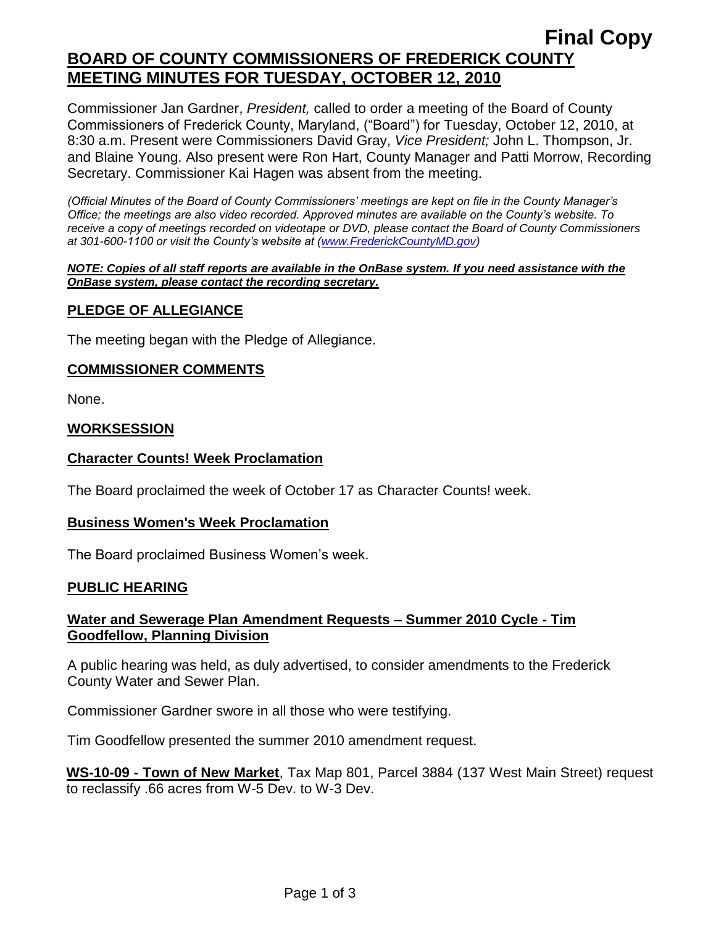# **Final Copy BOARD OF COUNTY COMMISSIONERS OF FREDERICK COUNTY MEETING MINUTES FOR TUESDAY, OCTOBER 12, 2010**

Commissioner Jan Gardner, *President,* called to order a meeting of the Board of County Commissioners of Frederick County, Maryland, ("Board") for Tuesday, October 12, 2010, at 8:30 a.m. Present were Commissioners David Gray, *Vice President;* John L. Thompson, Jr. and Blaine Young. Also present were Ron Hart, County Manager and Patti Morrow, Recording Secretary. Commissioner Kai Hagen was absent from the meeting.

*(Official Minutes of the Board of County Commissioners' meetings are kept on file in the County Manager's Office; the meetings are also video recorded. Approved minutes are available on the County's website. To receive a copy of meetings recorded on videotape or DVD, please contact the Board of County Commissioners at 301-600-1100 or visit the County's website at [\(www.FrederickCountyMD.gov\)](http://www.frederickcountymd.gov/)*

#### *NOTE: Copies of all staff reports are available in the OnBase system. If you need assistance with the OnBase system, please contact the recording secretary.*

## **PLEDGE OF ALLEGIANCE**

The meeting began with the Pledge of Allegiance.

## **COMMISSIONER COMMENTS**

None.

### **WORKSESSION**

### **Character Counts! Week Proclamation**

The Board proclaimed the week of October 17 as Character Counts! week.

### **Business Women's Week Proclamation**

The Board proclaimed Business Women's week.

### **PUBLIC HEARING**

## **Water and Sewerage Plan Amendment Requests – Summer 2010 Cycle - Tim Goodfellow, Planning Division**

A public hearing was held, as duly advertised, to consider amendments to the Frederick County Water and Sewer Plan.

Commissioner Gardner swore in all those who were testifying.

Tim Goodfellow presented the summer 2010 amendment request.

**WS-10-09 - Town of New Market**, Tax Map 801, Parcel 3884 (137 West Main Street) request to reclassify .66 acres from W-5 Dev. to W-3 Dev.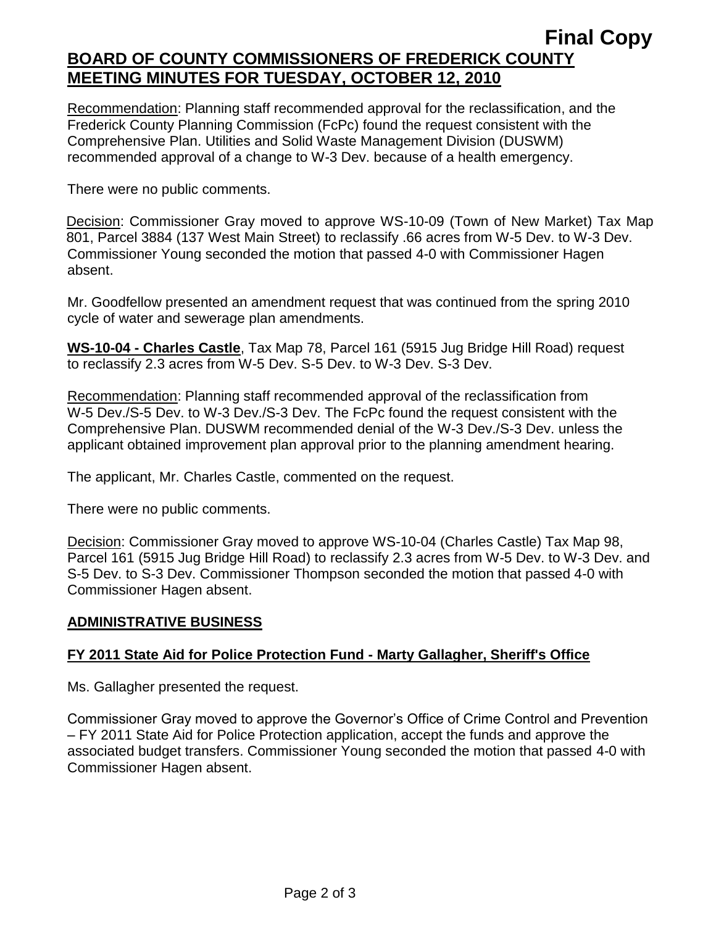## **Final Copy BOARD OF COUNTY COMMISSIONERS OF FREDERICK COUNTY MEETING MINUTES FOR TUESDAY, OCTOBER 12, 2010**

Recommendation: Planning staff recommended approval for the reclassification, and the Frederick County Planning Commission (FcPc) found the request consistent with the Comprehensive Plan. Utilities and Solid Waste Management Division (DUSWM) recommended approval of a change to W-3 Dev. because of a health emergency.

There were no public comments.

Decision: Commissioner Gray moved to approve WS-10-09 (Town of New Market) Tax Map 801, Parcel 3884 (137 West Main Street) to reclassify .66 acres from W-5 Dev. to W-3 Dev. Commissioner Young seconded the motion that passed 4-0 with Commissioner Hagen absent.

Mr. Goodfellow presented an amendment request that was continued from the spring 2010 cycle of water and sewerage plan amendments.

**WS-10-04 - Charles Castle**, Tax Map 78, Parcel 161 (5915 Jug Bridge Hill Road) request to reclassify 2.3 acres from W-5 Dev. S-5 Dev. to W-3 Dev. S-3 Dev.

Recommendation: Planning staff recommended approval of the reclassification from W-5 Dev./S-5 Dev. to W-3 Dev./S-3 Dev. The FcPc found the request consistent with the Comprehensive Plan. DUSWM recommended denial of the W-3 Dev./S-3 Dev. unless the applicant obtained improvement plan approval prior to the planning amendment hearing.

The applicant, Mr. Charles Castle, commented on the request.

There were no public comments.

Decision: Commissioner Gray moved to approve WS-10-04 (Charles Castle) Tax Map 98, Parcel 161 (5915 Jug Bridge Hill Road) to reclassify 2.3 acres from W-5 Dev. to W-3 Dev. and S-5 Dev. to S-3 Dev. Commissioner Thompson seconded the motion that passed 4-0 with Commissioner Hagen absent.

## **ADMINISTRATIVE BUSINESS**

## **FY 2011 State Aid for Police Protection Fund - Marty Gallagher, Sheriff's Office**

Ms. Gallagher presented the request.

Commissioner Gray moved to approve the Governor's Office of Crime Control and Prevention – FY 2011 State Aid for Police Protection application, accept the funds and approve the associated budget transfers. Commissioner Young seconded the motion that passed 4-0 with Commissioner Hagen absent.